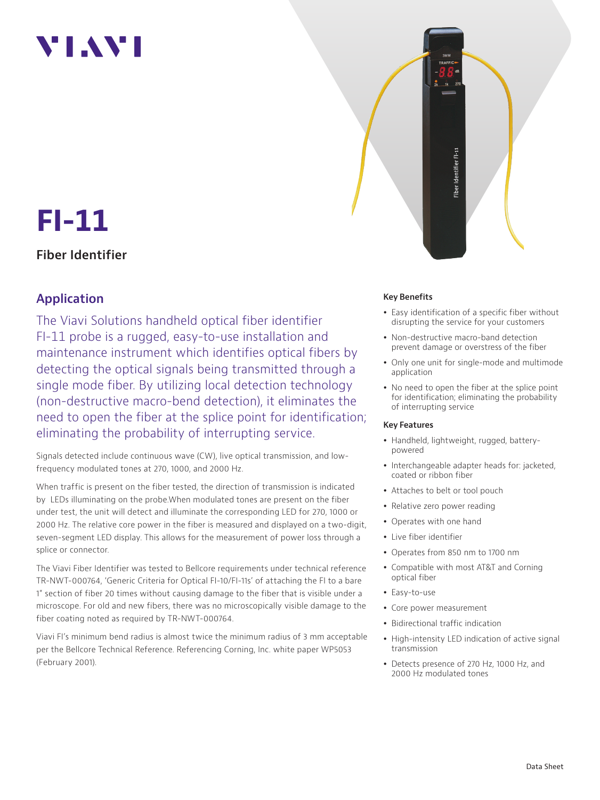# **YIAY**



# **FI-11**

### **Fiber Identifier**

## **Application**

The Viavi Solutions handheld optical fiber identifier FI-11 probe is a rugged, easy-to-use installation and maintenance instrument which identifies optical fibers by detecting the optical signals being transmitted through a single mode fiber. By utilizing local detection technology (non-destructive macro-bend detection), it eliminates the need to open the fiber at the splice point for identification; eliminating the probability of interrupting service.

Signals detected include continuous wave (CW), live optical transmission, and lowfrequency modulated tones at 270, 1000, and 2000 Hz.

When traffic is present on the fiber tested, the direction of transmission is indicated by LEDs illuminating on the probe.When modulated tones are present on the fiber under test, the unit will detect and illuminate the corresponding LED for 270, 1000 or 2000 Hz. The relative core power in the fiber is measured and displayed on a two-digit, seven-segment LED display. This allows for the measurement of power loss through a splice or connector.

The Viavi Fiber Identifier was tested to Bellcore requirements under technical reference TR-NWT-000764, 'Generic Criteria for Optical FI-10/FI-11s' of attaching the FI to a bare 1" section of fiber 20 times without causing damage to the fiber that is visible under a microscope. For old and new fibers, there was no microscopically visible damage to the fiber coating noted as required by TR-NWT-000764.

Viavi FI's minimum bend radius is almost twice the minimum radius of 3 mm acceptable per the Bellcore Technical Reference. Referencing Corning, Inc. white paper WP5053 (February 2001).

#### **Key Benefits**

- Easy identification of a specific fiber without disrupting the service for your customers
- Non-destructive macro-band detection prevent damage or overstress of the fiber
- Only one unit for single-mode and multimode application
- No need to open the fiber at the splice point for identification; eliminating the probability of interrupting service

#### **Key Features**

- Handheld, lightweight, rugged, batterypowered
- Interchangeable adapter heads for: jacketed, coated or ribbon fiber
- Attaches to belt or tool pouch
- Relative zero power reading
- Operates with one hand
- Live fiber identifier
- Operates from 850 nm to 1700 nm
- Compatible with most AT&T and Corning optical fiber
- Easy-to-use
- Core power measurement
- Bidirectional traffic indication
- High-intensity LED indication of active signal transmission
- Detects presence of 270 Hz, 1000 Hz, and 2000 Hz modulated tones